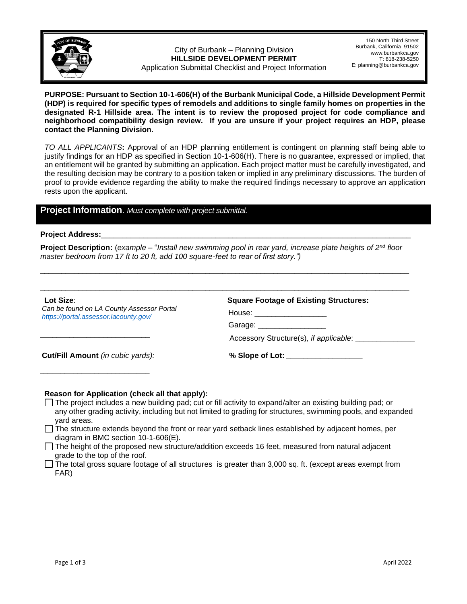

City of Burbank – Planning Division **HILLSIDE DEVELOPMENT PERMIT**  Application Submittal Checklist and Project Information

150 North Third Street Burbank, California 91502 www.burbankca.gov T: 818-238-5250 E: planning@burbankca.gov

**PURPOSE: Pursuant to Section 10-1-606(H) of the Burbank Municipal Code, a Hillside Development Permit (HDP) is required for specific types of remodels and additions to single family homes on properties in the designated R-1 Hillside area. The intent is to review the proposed project for code compliance and neighborhood compatibility design review. If you are unsure if your project requires an HDP, please contact the Planning Division.**

*TO ALL APPLICANTS***:** Approval of an HDP planning entitlement is contingent on planning staff being able to justify findings for an HDP as specified in Section 10-1-606(H). There is no guarantee, expressed or implied, that an entitlement will be granted by submitting an application. Each project matter must be carefully investigated, and the resulting decision may be contrary to a position taken or implied in any preliminary discussions. The burden of proof to provide evidence regarding the ability to make the required findings necessary to approve an application rests upon the applicant.

## **Project Information**. *Must complete with project submittal.*

## Project Address:

**Project Description:** (*example* – "*Install new swimming pool in rear yard, increase plate heights of 2nd floor master bedroom from 17 ft to 20 ft, add 100 square-feet to rear of first story.")*

\_\_\_\_\_\_\_\_\_\_\_\_\_\_\_\_\_\_\_\_\_\_\_\_\_\_\_\_\_\_\_\_\_\_\_\_\_\_\_\_\_\_\_\_\_\_\_\_\_\_\_\_\_\_\_\_\_\_\_\_\_\_\_\_\_\_\_\_\_\_\_\_\_\_\_\_\_\_\_\_\_\_\_\_\_\_\_

| Lot Size:<br>Can be found on LA County Assessor Portal<br>https://portal.assessor.lacounty.gov/ | <b>Square Footage of Existing Structures:</b><br>House: ______________________<br>Garage: ____________________ |
|-------------------------------------------------------------------------------------------------|----------------------------------------------------------------------------------------------------------------|
|                                                                                                 | Accessory Structure(s), if applicable:                                                                         |
| Cut/Fill Amount (in cubic yards):                                                               |                                                                                                                |
| Reason for Application (check all that apply):                                                  |                                                                                                                |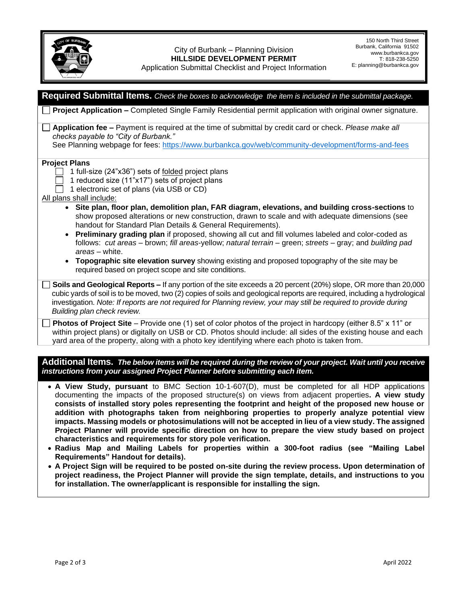## City of Burbank – Planning Division **HILLSIDE DEVELOPMENT PERMIT**  Application Submittal Checklist and Project Information

| Required Submittal Items. Check the boxes to acknowledge the item is included in the submittal package.                                                                                                                                                                                                                                                                                                                                                                                                                                                                                                                                                                                                                                                                                                                                   |
|-------------------------------------------------------------------------------------------------------------------------------------------------------------------------------------------------------------------------------------------------------------------------------------------------------------------------------------------------------------------------------------------------------------------------------------------------------------------------------------------------------------------------------------------------------------------------------------------------------------------------------------------------------------------------------------------------------------------------------------------------------------------------------------------------------------------------------------------|
| Project Application - Completed Single Family Residential permit application with original owner signature.                                                                                                                                                                                                                                                                                                                                                                                                                                                                                                                                                                                                                                                                                                                               |
| Application fee - Payment is required at the time of submittal by credit card or check. Please make all<br>checks payable to "City of Burbank."                                                                                                                                                                                                                                                                                                                                                                                                                                                                                                                                                                                                                                                                                           |
| See Planning webpage for fees: https://www.burbankca.gov/web/community-development/forms-and-fees                                                                                                                                                                                                                                                                                                                                                                                                                                                                                                                                                                                                                                                                                                                                         |
| <b>Project Plans</b><br>1 full-size (24"x36") sets of folded project plans<br>1 reduced size (11"x17") sets of project plans<br>1 electronic set of plans (via USB or CD)<br>All plans shall include:<br>• Site plan, floor plan, demolition plan, FAR diagram, elevations, and building cross-sections to<br>show proposed alterations or new construction, drawn to scale and with adequate dimensions (see<br>handout for Standard Plan Details & General Requirements).<br>Preliminary grading plan if proposed, showing all cut and fill volumes labeled and color-coded as<br>$\bullet$<br>follows: cut areas – brown; fill areas-yellow; natural terrain – green; streets – gray; and building pad<br>areas - white.<br>Topographic site elevation survey showing existing and proposed topography of the site may be<br>$\bullet$ |
| required based on project scope and site conditions.<br>Soils and Geological Reports - If any portion of the site exceeds a 20 percent (20%) slope, OR more than 20,000<br>cubic yards of soil is to be moved, two (2) copies of soils and geological reports are required, including a hydrological<br>investigation. Note: If reports are not required for Planning review, your may still be required to provide during<br>Building plan check review.                                                                                                                                                                                                                                                                                                                                                                                 |
| <b>Photos of Project Site</b> – Provide one (1) set of color photos of the project in hardcopy (either 8.5" x 11" or<br>within project plans) or digitally on USB or CD. Photos should include: all sides of the existing house and each<br>yard area of the property, along with a photo key identifying where each photo is taken from.                                                                                                                                                                                                                                                                                                                                                                                                                                                                                                 |
| Additional Items. The below items will be required during the review of your project. Wait until you receive<br>instructions from your assigned Project Planner before submitting each item.                                                                                                                                                                                                                                                                                                                                                                                                                                                                                                                                                                                                                                              |
| • A View Study, pursuant to BMC Section 10-1-607(D), must be completed for all HDP applications<br>documenting the impacts of the proposed structure(s) on views from adjacent properties. A view study                                                                                                                                                                                                                                                                                                                                                                                                                                                                                                                                                                                                                                   |

- documenting the impacts of the proposed structure(s) on views from adjacent properties**. A view study consists of installed story poles representing the footprint and height of the proposed new house or addition with photographs taken from neighboring properties to properly analyze potential view impacts. Massing models or photosimulations will not be accepted in lieu of a view study. The assigned Project Planner will provide specific direction on how to prepare the view study based on project characteristics and requirements for story pole verification.**
- **Radius Map and Mailing Labels for properties within a 300-foot radius (see "Mailing Label Requirements" Handout for details).**
- **A Project Sign will be required to be posted on-site during the review process. Upon determination of project readiness, the Project Planner will provide the sign template, details, and instructions to you for installation. The owner/applicant is responsible for installing the sign.**